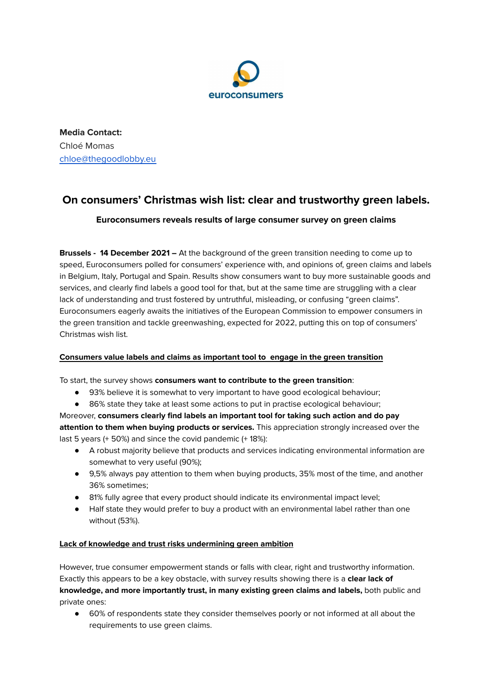

**Media Contact:** Chloé Momas [chloe@thegoodlobby.eu](mailto:chloe@thegoodlobby.eu)

# **On consumers' Christmas wish list: clear and trustworthy green labels.**

# **Euroconsumers reveals results of large consumer survey on green claims**

**Brussels - 14 December 2021 –** At the background of the green transition needing to come up to speed, Euroconsumers polled for consumers' experience with, and opinions of, green claims and labels in Belgium, Italy, Portugal and Spain. Results show consumers want to buy more sustainable goods and services, and clearly find labels a good tool for that, but at the same time are struggling with a clear lack of understanding and trust fostered by untruthful, misleading, or confusing "green claims". Euroconsumers eagerly awaits the initiatives of the European Commission to empower consumers in the green transition and tackle greenwashing, expected for 2022, putting this on top of consumers' Christmas wish list.

# **Consumers value labels and claims as important tool to engage in the green transition**

To start, the survey shows **consumers want to contribute to the green transition**:

- 93% believe it is somewhat to very important to have good ecological behaviour;
- 86% state they take at least some actions to put in practise ecological behaviour;

Moreover, **consumers clearly find labels an important tool for taking such action and do pay attention to them when buying products or services.** This appreciation strongly increased over the last 5 years (+ 50%) and since the covid pandemic (+ 18%):

- A robust majority believe that products and services indicating environmental information are somewhat to very useful (90%);
- 9,5% always pay attention to them when buying products, 35% most of the time, and another 36% sometimes;
- 81% fully agree that every product should indicate its environmental impact level;
- Half state they would prefer to buy a product with an environmental label rather than one without (53%).

## **Lack of knowledge and trust risks undermining green ambition**

However, true consumer empowerment stands or falls with clear, right and trustworthy information. Exactly this appears to be a key obstacle, with survey results showing there is a **clear lack of knowledge, and more importantly trust, in many existing green claims and labels,** both public and private ones:

● 60% of respondents state they consider themselves poorly or not informed at all about the requirements to use green claims.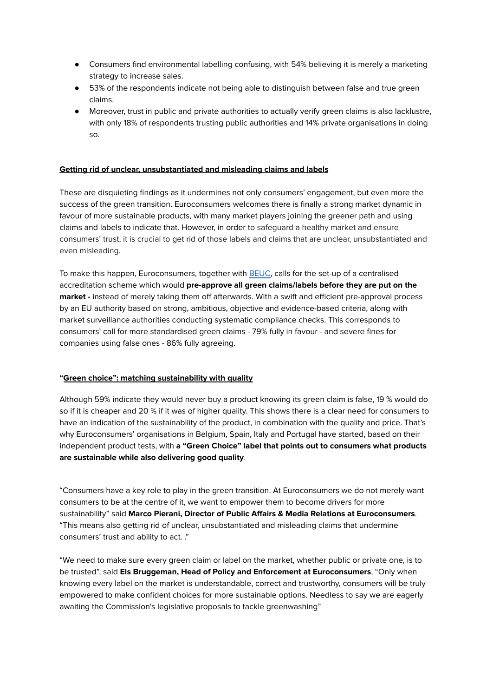- Consumers find environmental labelling confusing, with 54% believing it is merely a marketing strategy to increase sales.
- 53% of the respondents indicate not being able to distinguish between false and true green claims.
- Moreover, trust in public and private authorities to actually verify green claims is also lacklustre, with only 18% of respondents trusting public authorities and 14% private organisations in doing so.

## **Getting rid of unclear, unsubstantiated and misleading claims and labels**

These are disquieting findings as it undermines not only consumers' engagement, but even more the success of the green transition. Euroconsumers welcomes there is finally a strong market dynamic in favour of more sustainable products, with many market players joining the greener path and using claims and labels to indicate that. However, in order to safeguard a healthy market and ensure consumers' trust, it is crucial to get rid of those labels and claims that are unclear, unsubstantiated and even misleading.

To make this happen, Euroconsumers, together with [BEUC](https://www.beuc.eu/publications/beuc-x-2020-116_getting_rid_of_green_washing.pdf), calls for the set-up of a centralised accreditation scheme which would **pre-approve all green claims/labels before they are put on the market -** instead of merely taking them off afterwards. With a swift and efficient pre-approval process by an EU authority based on strong, ambitious, objective and evidence-based criteria, along with market surveillance authorities conducting systematic compliance checks. This corresponds to consumers' call for more standardised green claims - 79% fully in favour - and severe fines for companies using false ones - 86% fully agreeing.

### **"Green choice": matching sustainability with quality**

Although 59% indicate they would never buy a product knowing its green claim is false, 19 % would do so if it is cheaper and 20 % if it was of higher quality. This shows there is a clear need for consumers to have an indication of the sustainability of the product, in combination with the quality and price. That's why Euroconsumers' organisations in Belgium, Spain, Italy and Portugal have started, based on their independent product tests, with **a "Green Choice" label that points out to consumers what products are sustainable while also delivering good quality**.

"Consumers have a key role to play in the green transition. At Euroconsumers we do not merely want consumers to be at the centre of it, we want to empower them to become drivers for more sustainability" said **Marco Pierani, Director of Public Affairs & Media Relations at Euroconsumers**. "This means also getting rid of unclear, unsubstantiated and misleading claims that undermine consumers' trust and ability to act. ."

"We need to make sure every green claim or label on the market, whether public or private one, is to be trusted", said **Els Bruggeman, Head of Policy and Enforcement at Euroconsumers**, "Only when knowing every label on the market is understandable, correct and trustworthy, consumers will be truly empowered to make confident choices for more sustainable options. Needless to say we are eagerly awaiting the Commission's legislative proposals to tackle greenwashing"